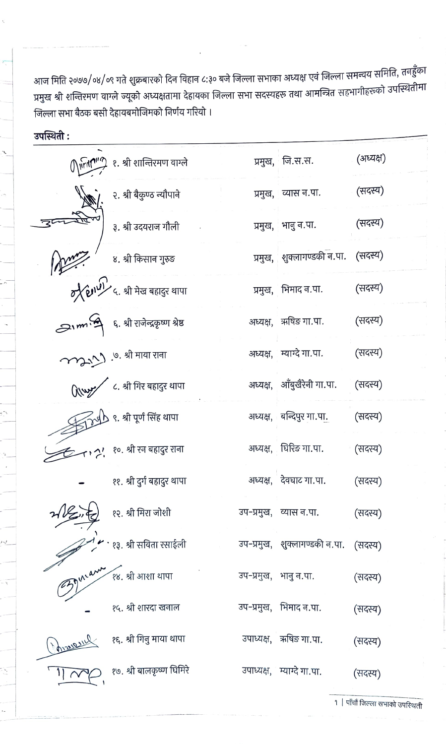आज मिति २०७७/०४/०९ गते शुक्रबारको दिन विहान ८:३० बजे जिल्ला सभाका अध्यक्ष एवं जिल्ला समन्वय समिति, तनहुँका प्रमुख श्री शन्तिरमण वाग्ले ज्यूको अध्यक्षतामा देहायका जिल्ला सभा सदस्यहरू तथा आमन्त्रित सहभागीहरूको उपस्थितीमा जिल्ला सभा बैठक बसी देहायबमोजिमको निर्णय गरियो ।

उपस्थिती:

| $\mathbb{O}$ $\mathbb{P}$ $\mathbb{P}$ $\mathbb{P}$ $\mathbb{P}$ | १. श्री शान्तिरमण वाग्ले                         |                       | प्रमुख, जि.स.स.               | (अध्यक्ष) |
|------------------------------------------------------------------|--------------------------------------------------|-----------------------|-------------------------------|-----------|
|                                                                  | २. श्री बैकुण्ठ न्यौपाने                         |                       | प्रमुख, व्यास न.पा.           | (सदस्य)   |
|                                                                  | ३. श्री उदयराज गौली                              |                       | प्रमुख, भानु न.पा.            | (सदस्य)   |
|                                                                  |                                                  |                       | प्रमुख, शुक्लागण्डकी न.पा.    | (सदस्य)   |
|                                                                  |                                                  |                       | प्रमुख, भिमाद न.पा.           | (सदस्य)   |
|                                                                  | SIM भी ६. श्री राजेन्द्रकृष्ण श्रेष्ठ            |                       | अध्यक्ष, ऋषिङ गा.पा.          | (सदस्य)   |
|                                                                  | my . <sup>७. श्री माया राना</sup>                |                       | अध्यक्ष, म्याग्दे गा.पा.      | (सदस्य)   |
|                                                                  | <b>(Kwy / c.</b> श्री गिर बहादुर थापा            |                       | अध्यक्ष, आँबुखैरेनी गा.पा.    | (सदस्य)   |
|                                                                  | $\frac{1}{\sqrt{2}}$ odb s. श्री पूर्ण सिंह थापा |                       | अध्यक्ष, बन्दिपुर गा.पा.      | (सदस्य)   |
|                                                                  | .<br>?'१०. श्री रन बहादुर राना                   |                       | अध्यक्ष, घिरिङ गा.पा.         | (सदस्य)   |
|                                                                  | ११. श्री दुर्ग बहादुर थापा                       |                       | अध्यक्ष, देवघाट गा.पा.        | (सदस्य)   |
|                                                                  | १२. श्री मिरा जोशी                               |                       | उप-प्रमुख, व्यास न.पा.        | (सदस्य)   |
|                                                                  | १३. श्री सविता रसाईली                            |                       | उप-प्रमुख, शुक्लागण्डकी न.पा. | (सदस्य)   |
|                                                                  | १४. श्री आशा थापा                                | उप-प्रमुख, भानु न.पा. |                               | (सदस्य)   |
|                                                                  | १५. श्री शारदा खनाल                              |                       | उप-प्रमुख, भिमाद न.पा.        | (सदस्य)   |
|                                                                  | १६. श्री गिनु माया थापा                          |                       | उपाध्यक्ष, ऋषिङ गा.पा.        | (सदस्य)   |
|                                                                  | १७. श्री बालकृष्ण घिमिरे                         |                       | उपाध्यक्ष, म्याग्दे गा.पा.    | (सदस्य)   |

१ | पाँचौं जिल्ला सभाको उपस्थिती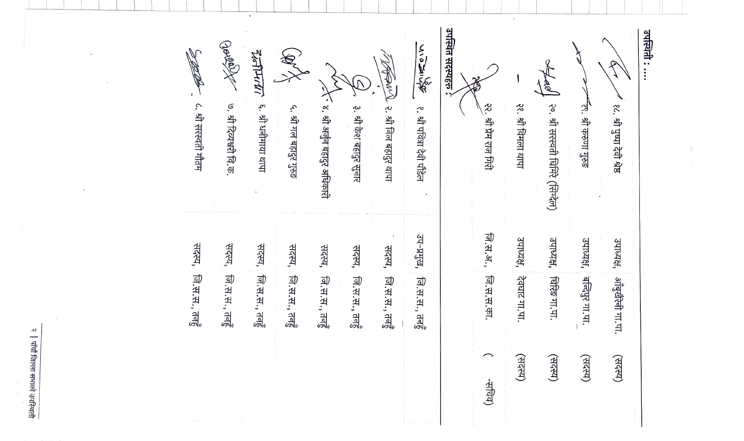| १८. श्री पुष्पा देवी श्रेष्ठ              | उपाध्यक्ष, | अंबुखेरेनी गा.पा.       | (सदस्य) |
|-------------------------------------------|------------|-------------------------|---------|
| न्लू. श्री करुणा गुरुङ                    | उपाध्यक्ष, | बन्दिपुर गा.पा.         | (सदस्य) |
| lge.<br>२०. श्री सरस्वती घिमिरे (सिग्देल) | उपाध्यक्ष, | शिंख गा.पा.             | (सदस्य) |
| २१. श्री विमला थापा                       | उपाध्यक्ष, | देवघाट गा.पा            | (सदस)   |
| २२. श्री प्रेम राज गिरी                   | जि.स.अ.,   | जि.स.स.का               | -सचिव)  |
| उपस्थित सदस्यहरू :                        |            |                         |         |
| 後えりこ<br>१. श्री पवित्रा देवी पौडेल        | उप-प्रमुख, | नि.स.स., तवहुँ          |         |
| <b>RANDARY</b><br>२. श्री निल बहादुर थापा | सदस्य,     | नि.स.स., तवहुँ          |         |
| ३. श्री केश बहादुर सुनार                  | सदस्य,     | जि.स.स., तवहुं          |         |
| ़्र ४. श्री अर्जुन बहादुर अधिकारी         | सदस्य,     | जि.स.स., तवहुं          |         |
| €<br>५. श्री गल बहादुर गुरुङ              |            | सदस्य, , जि.स.स., तनहुँ |         |
| <b>र्द्राज्या</b><br>६. श्री धनीमाया थापा | सदस्य,     | जि.स.स., तनहुं          |         |
| Norder<br>७. श्री दिव्यश्वरी वि.क         | सदस्य,     | जि.स.स., तनहुं          |         |
| ८. श्री सरस्वती गौतम                      | सदस्य,     | नि.स.स., तनहुं          |         |

 $\sim$ 

 $\bar{1}$ 

 $\Delta$ 

२ | पाँचौं जिल्ला सभाको उपस्थित<del>ी</del>